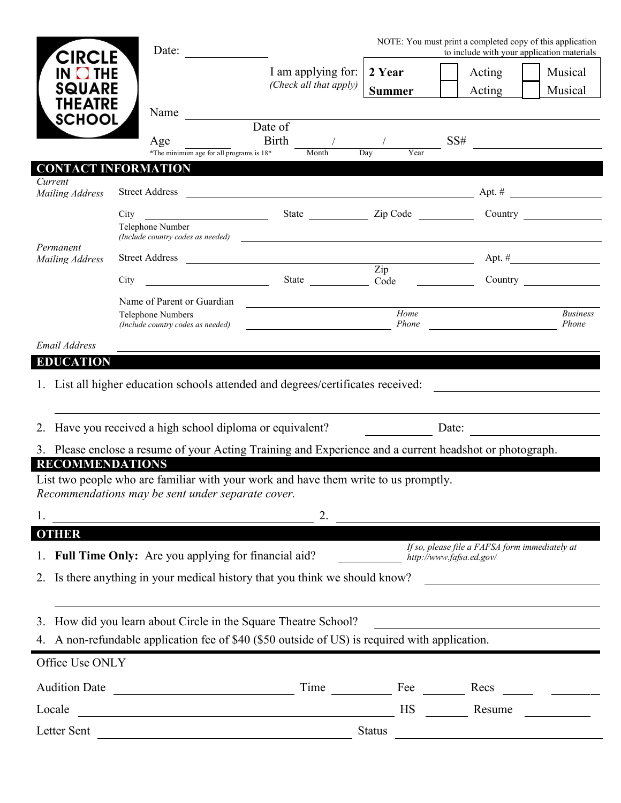| <b>CIRCLE</b>                                                      | Date:                                                                           | NOTE: You must print a completed copy of this application<br>to include with your application materials              |               |                                                                                                                      |                           |  |
|--------------------------------------------------------------------|---------------------------------------------------------------------------------|----------------------------------------------------------------------------------------------------------------------|---------------|----------------------------------------------------------------------------------------------------------------------|---------------------------|--|
| <b>O</b> THE                                                       |                                                                                 | I am applying for:                                                                                                   | 2 Year        | Acting                                                                                                               | Musical                   |  |
| <b>SQUARE</b>                                                      |                                                                                 | (Check all that apply)                                                                                               | <b>Summer</b> | Acting                                                                                                               | Musical                   |  |
| THEATRE<br><b>SCHOOL</b>                                           | Name                                                                            |                                                                                                                      |               |                                                                                                                      |                           |  |
|                                                                    | Age<br>*The minimum age for all programs is 18*                                 | Date of<br>Birth<br>Month                                                                                            | Year<br>Dav   | $SS\#$                                                                                                               |                           |  |
|                                                                    | <b>CONTACT INFORMATION</b>                                                      |                                                                                                                      |               |                                                                                                                      |                           |  |
| Current<br>Mailing Address                                         | <b>Street Address</b>                                                           | $\frac{1}{2}$ Apt. #                                                                                                 |               |                                                                                                                      |                           |  |
| Permanent<br>Mailing Address                                       | <u> 1980 - Johann Barbara, martin eta politikar</u><br>City<br>Telephone Number | State <u>Zip Code</u><br>(Include country codes as needed)                                                           |               |                                                                                                                      |                           |  |
|                                                                    |                                                                                 |                                                                                                                      |               |                                                                                                                      | Apt. $\#$                 |  |
|                                                                    | City                                                                            | Street Address Zip<br>$\frac{2\pi p}{\text{Code}}$ State $\frac{2\pi p}{\text{Code}}$                                |               |                                                                                                                      |                           |  |
|                                                                    | Name of Parent or Guardian                                                      |                                                                                                                      |               |                                                                                                                      |                           |  |
|                                                                    | Telephone Numbers<br>(Include country codes as needed)                          |                                                                                                                      | Home<br>Phone |                                                                                                                      | <b>Business</b><br>Phone  |  |
| Email Address                                                      |                                                                                 |                                                                                                                      |               |                                                                                                                      |                           |  |
| <b>EDUCATION</b>                                                   |                                                                                 |                                                                                                                      |               |                                                                                                                      |                           |  |
|                                                                    |                                                                                 | 1. List all higher education schools attended and degrees/certificates received:                                     |               | <u> 1980 - Jan Stein Stein Stein Stein Stein Stein Stein Stein Stein Stein Stein Stein Stein Stein Stein Stein S</u> |                           |  |
| 2. Have you received a high school diploma or equivalent?<br>Date: |                                                                                 |                                                                                                                      |               |                                                                                                                      |                           |  |
|                                                                    |                                                                                 | 3. Please enclose a resume of your Acting Training and Experience and a current headshot or photograph.              |               |                                                                                                                      |                           |  |
| <b>RECOMMENDATIONS</b>                                             | Recommendations may be sent under separate cover.                               | List two people who are familiar with your work and have them write to us promptly.                                  |               |                                                                                                                      |                           |  |
| 1.                                                                 |                                                                                 | 2.                                                                                                                   |               |                                                                                                                      |                           |  |
| <b>OTHER</b>                                                       |                                                                                 |                                                                                                                      |               |                                                                                                                      |                           |  |
|                                                                    | Full Time Only: Are you applying for financial aid?                             |                                                                                                                      |               | If so, please file a FAFSA form immediately at<br>http://www.fafsa.ed.gov/                                           |                           |  |
|                                                                    |                                                                                 | 2. Is there anything in your medical history that you think we should know?                                          |               |                                                                                                                      |                           |  |
|                                                                    |                                                                                 |                                                                                                                      |               |                                                                                                                      |                           |  |
| 3.                                                                 |                                                                                 | How did you learn about Circle in the Square Theatre School?                                                         |               |                                                                                                                      |                           |  |
|                                                                    |                                                                                 | 4. A non-refundable application fee of \$40 (\$50 outside of US) is required with application.                       |               |                                                                                                                      |                           |  |
| Office Use ONLY                                                    |                                                                                 |                                                                                                                      |               |                                                                                                                      |                           |  |
|                                                                    |                                                                                 |                                                                                                                      | Fee           | Recs                                                                                                                 | $\mathbf{r} = \mathbf{r}$ |  |
| <b>Audition Date</b>                                               |                                                                                 |                                                                                                                      |               |                                                                                                                      |                           |  |
| Locale                                                             | <u> 1980 - Johann Barbara, martxa amerikan personal (</u>                       | <u> 1980 - Johann Barn, marwolaethau a bhann an t-Alban an t-Alban an t-Alban an t-Alban an t-Alban an t-Alban a</u> | <b>HS</b>     | Resume                                                                                                               |                           |  |